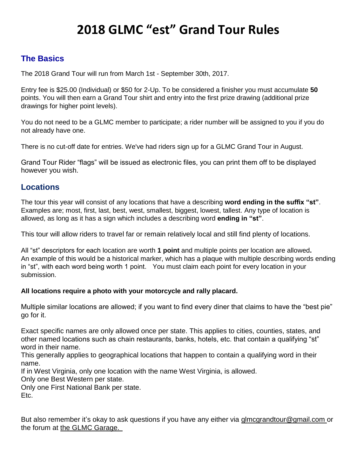# **2018 GLMC "est" Grand Tour Rules**

## **The Basics**

The 2018 Grand Tour will run from March 1st - September 30th, 2017.

Entry fee is \$25.00 (Individual) or \$50 for 2-Up. To be considered a finisher you must accumulate **50** points. You will then earn a Grand Tour shirt and entry into the first prize drawing (additional prize drawings for higher point levels).

You do not need to be a GLMC member to participate; a rider number will be assigned to you if you do not already have one.

There is no cut-off date for entries. We've had riders sign up for a GLMC Grand Tour in August.

Grand Tour Rider "flags" will be issued as electronic files, you can print them off to be displayed however you wish.

## **Locations**

The tour this year will consist of any locations that have a describing **word ending in the suffix "st"**. Examples are; most, first, last, best, west, smallest, biggest, lowest, tallest. Any type of location is allowed, as long as it has a sign which includes a describing word **ending in "st"**.

This tour will allow riders to travel far or remain relatively local and still find plenty of locations.

All "st" descriptors for each location are worth **1 point** and multiple points per location are allowed**.** An example of this would be a historical marker, which has a plaque with multiple describing words ending in "st", with each word being worth 1 point. You must claim each point for every location in your submission.

### **All locations require a photo with your motorcycle and rally placard.**

Multiple similar locations are allowed; if you want to find every diner that claims to have the "best pie" go for it.

Exact specific names are only allowed once per state. This applies to cities, counties, states, and other named locations such as chain restaurants, banks, hotels, etc. that contain a qualifying "st" word in their name.

This generally applies to geographical locations that happen to contain a qualifying word in their name.

If in West Virginia, only one location with the name West Virginia, is allowed.

Only one Best Western per state.

Only one First National Bank per state. Etc.

But also remember it's okay to ask questions if you have any either via glmcgrandtour@gmail.com or the forum at the GLMC Garage.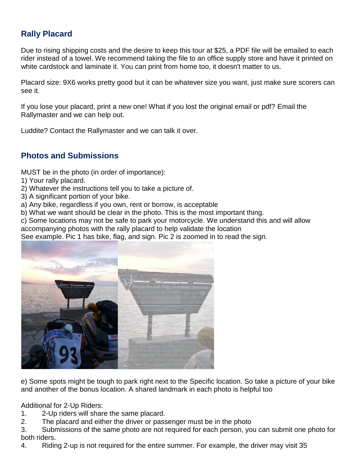# **Rally Placard**

Due to rising shipping costs and the desire to keep this tour at \$25, a PDF file will be emailed to each rider instead of a towel. We recommend taking the file to an office supply store and have it printed on white cardstock and laminate it. You can print from home too, it doesn't matter to us.

Placard size: 9X6 works pretty good but it can be whatever size you want, just make sure scorers can see it.

If you lose your placard, print a new one! What if you lost the original email or pdf? Email the Rallymaster and we can help out.

Luddite? Contact the Rallymaster and we can talk it over.

## **Photos and Submissions**

MUST be in the photo (in order of importance):

- 1) Your rally placard.
- 2) Whatever the instructions tell you to take a picture of.
- 3) A significant portion of your bike.
- a) Any bike, regardless if you own, rent or borrow, is acceptable
- b) What we want should be clear in the photo. This is the most important thing.

c) Some locations may not be safe to park your motorcycle. We understand this and will allow accompanying photos with the rally placard to help validate the location

See example. Pic 1 has bike, flag, and sign. Pic 2 is zoomed in to read the sign.



e) Some spots might be tough to park right next to the Specific location. So take a picture of your bike and another of the bonus location. A shared landmark in each photo is helpful too

Additional for 2-Up Riders:

- 1. 2-Up riders will share the same placard.
- 2. The placard and either the driver or passenger must be in the photo

3. Submissions of the same photo are not required for each person, you can submit one photo for both riders.

4. Riding 2-up is not required for the entire summer. For example, the driver may visit 35